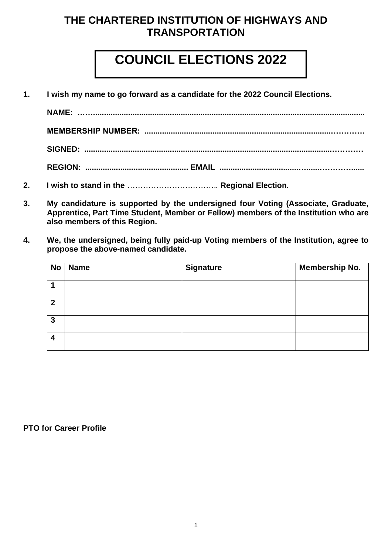### **THE CHARTERED INSTITUTION OF HIGHWAYS AND TRANSPORTATION**

# **COUNCIL ELECTIONS 2022**

**1. I wish my name to go forward as a candidate for the 2022 Council Elections.**

**NAME:** *…….***........................................................................................................................... MEMBERSHIP NUMBER: .....................................................................................…………. SIGNED: .................................................................................................................…………**

- **REGION: ............................................... EMAIL ....................................…......…………......**
- **2. I wish to stand in the** *……………………*……….*.* **Regional Election***.*
- **3. My candidature is supported by the undersigned four Voting (Associate, Graduate, Apprentice, Part Time Student, Member or Fellow) members of the Institution who are also members of this Region.**
- **4. We, the undersigned, being fully paid-up Voting members of the Institution, agree to propose the above-named candidate.**

| <b>No</b>      | <b>Name</b> | <b>Signature</b> | <b>Membership No.</b> |
|----------------|-------------|------------------|-----------------------|
|                |             |                  |                       |
| $\overline{2}$ |             |                  |                       |
| $\mathbf{3}$   |             |                  |                       |
| $\overline{4}$ |             |                  |                       |

#### **PTO for Career Profile**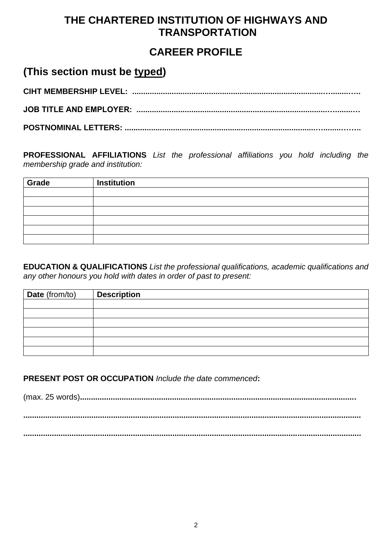## **THE CHARTERED INSTITUTION OF HIGHWAYS AND TRANSPORTATION**

### **CAREER PROFILE**

#### **(This section must be typed)**

**CIHT MEMBERSHIP LEVEL: .......................................................................................…........….. JOB TITLE AND EMPLOYER: .......................................................................................…........…**

**POSTNOMINAL LETTERS: .......................................................................................…........……..**

**PROFESSIONAL AFFILIATIONS** *List the professional affiliations you hold including the membership grade and institution:*

| Grade | <b>Institution</b> |
|-------|--------------------|
|       |                    |
|       |                    |
|       |                    |
|       |                    |
|       |                    |
|       |                    |

**EDUCATION & QUALIFICATIONS** *List the professional qualifications, academic qualifications and any other honours you hold with dates in order of past to present:*

| Date (from/to) | <b>Description</b> |
|----------------|--------------------|
|                |                    |
|                |                    |
|                |                    |
|                |                    |
|                |                    |
|                |                    |

**PRESENT POST OR OCCUPATION** *Include the date commenced***:**

(max. 25 words)**.............................................................................................................................. ..........................................................................................................................................................**

**..........................................................................................................................................................**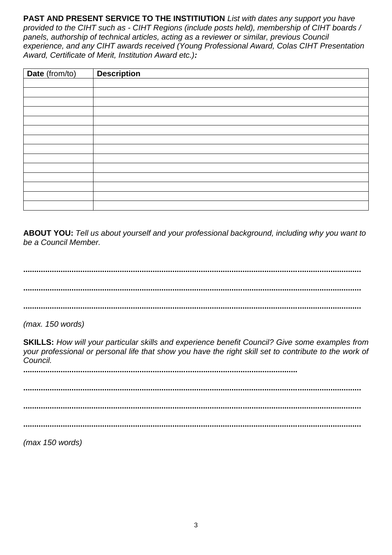**PAST AND PRESENT SERVICE TO THE INSTITIUTION** *List with dates any support you have provided to the CIHT such as - CIHT Regions (include posts held), membership of CIHT boards /*  panels, authorship of technical articles, acting as a reviewer or similar, previous Council *experience, and any CIHT awards received (Young Professional Award, Colas CIHT Presentation Award, Certificate of Merit, Institution Award etc.):*

| Date (from/to) | <b>Description</b> |
|----------------|--------------------|
|                |                    |
|                |                    |
|                |                    |
|                |                    |
|                |                    |
|                |                    |
|                |                    |
|                |                    |
|                |                    |
|                |                    |
|                |                    |
|                |                    |
|                |                    |
|                |                    |

**ABOUT YOU:** *Tell us about yourself and your professional background, including why you want to be a Council Member.* 

**.......................................................................................................................................................... ..........................................................................................................................................................**

**..........................................................................................................................................................**

*(max. 150 words)*

**SKILLS:** *How will your particular skills and experience benefit Council? Give some examples from your professional or personal life that show you have the right skill set to contribute to the work of Council.*

**.............................................................................................................................**

**.......................................................................................................................................................... .......................................................................................................................................................... ..........................................................................................................................................................**

*(max 150 words)*